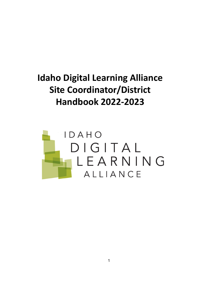# **Idaho Digital Learning Alliance Site Coordinator/District Handbook 2022-2023**

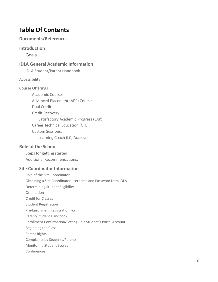# **Table Of Contents**

# **[Documents/References](#page-2-0)**

### **[Introduction](#page-3-0)**

[Goals](#page-3-1)

# **IDLA General Academic [Information](#page-4-0)**

[IDLA Student/Parent Handbook](#page-4-1)

#### [Accessibility](#page-4-2)

- [Course Offerings](#page-4-3)
	- [Academic Courses:](#page-4-4) [Advanced Placement \(AP®\) Courses:](#page-4-5) [Dual Credit:](#page-5-0) [Credit Recovery:](#page-6-0) [Satisfactory Academic Progress \(SAP\)](#page-6-1) [Career Technical Education \(CTE\):](#page-6-2) [Custom Sessions:](#page-7-0) [Learning Coach \(LC\) Access:](#page-7-1)

# **Role of the [School](#page-7-2)**

[Steps for getting started:](#page-7-3) [Additional Recommendations:](#page-8-0)

# **Site [Coordinator](#page-8-1) Information**

Role of the Site [Coordinator](#page-8-2) Obtaining a Site [Coordinator](#page-9-0) username and Password from IDLA [Determining](#page-9-1) Student Eligibility **[Orientation](#page-10-0)** Credit for [Classes](#page-10-1) Student [Registration](#page-10-2) [Pre-Enrollment](#page-10-3) Registration Form [Parent/Student](#page-11-0) Handbook Enrollment [Confirmation/Setting](#page-11-1) up a Student's Portal Account [Beginning](#page-11-2) the Class [Parent](#page-11-3) Rights Complaints by [Students/Parents](#page-12-0) [Monitoring](#page-12-1) Student Scores [Conferences](#page-13-0)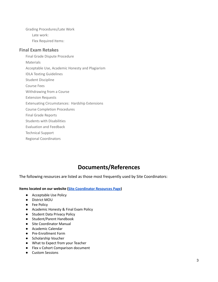Grading [Procedures/Late](#page-13-1) Work Late [work:](#page-13-2) Flex [Required](#page-13-3) Items:

## **Final Exam [Retakes](#page-13-4)**

Final Grade Dispute [Procedure](#page-14-0) [Materials](#page-14-1) [Acceptable](#page-14-2) Use, Academic Honesty and Plagiarism IDLA Texting [Guidelines](#page-16-0) Student [Discipline](#page-16-1) [Course](#page-16-2) Fees [Withdrawing](#page-16-3) from a Course [Extension](#page-17-0) Requests Extenuating [Circumstances:](#page-18-0) Hardship Extensions Course [Completion](#page-18-1) Procedures Final Grade [Reports](#page-19-0)

Students with [Disabilities](#page-19-1) [Evaluation](#page-20-0) and Feedback

[Technical](#page-20-1) Support

Regional [Coordinators](#page-20-2)

# **Documents/References**

<span id="page-2-0"></span>The following resources are listed as those most frequently used by Site Coordinators:

**Items located on our website (Site [Coordinator](https://www.idahodigitallearning.org/site-coordinators/resources/) Resources Page)**

- Acceptable Use Policy
- District MOU
- Fee Policy
- Academic Honesty & Final Exam Policy
- Student Data Privacy Policy
- Student/Parent Handbook
- Site [Coordinator](https://www.idahodigitallearning.org/wp-content/uploads/IDLASiteCoordinatorManual-updated2013.pdf) Manual
- Academic Calendar
- Pre-Enrollment Form
- Scholarship Voucher
- What to Expect from your Teacher
- Flex v Cohort Comparison document
- Custom Sessions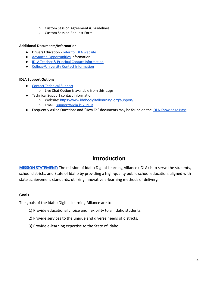- Custom Session Agreement & Guidelines
- Custom Session Request Form

#### **Additional Documents/Information**

- Drivers Education refer to IDLA [website](https://www.idahodigitallearning.org/courses/driver-education-course/)
- **Advanced [Opportunities](https://www.idahodigitallearning.org/students-parents/advanced-opportunities/) Information**
- IDLA Teacher & Principal Contact [Information](https://www.idahodigitallearning.org/our-team/faculty/)
- [College/University](https://www.idahodigitallearning.org/dc-contacts/) Contact Information

#### **IDLA Support Options**

- Contact [Technical](https://www.idahodigitallearning.org/support/) Support
	- Live Chat Option is available from this page
- Technical Support contact information
	- Website: <https://www.idahodigitallearning.org/support/>
	- Email: [support@idla.k12.id.us](mailto:support@idla.k12.id.us)
- Frequently Asked Questions and "How To" documents may be found on the IDLA [Knowledge](https://sites.google.com/idla.k12.id.us/knowledge-base) Base

# **Introduction**

<span id="page-3-0"></span>**[MISSION STATEMENT:](https://www.idahodigitallearning.org/about-us/)** The mission of Idaho Digital Learning Alliance (IDLA) is to serve the students, school districts, and State of Idaho by providing a high-quality public school education, aligned with state achievement standards, utilizing innovative e-learning methods of delivery.

#### <span id="page-3-1"></span>**Goals**

The goals of the Idaho Digital Learning Alliance are to:

- 1) Provide educational choice and flexibility to all Idaho students.
- 2) Provide services to the unique and diverse needs of districts.
- 3) Provide e-learning expertise to the State of Idaho.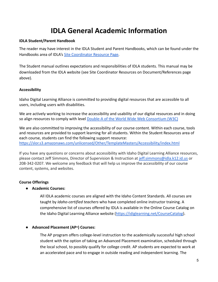# **IDLA General Academic Information**

#### <span id="page-4-1"></span><span id="page-4-0"></span>**IDLA Student/Parent Handbook**

The reader may have interest in the IDLA Student and Parent Handbooks, which can be found under the Handbooks area of IDLA's [Site Coordinator Resource](https://www.idahodigitallearning.org/site-coordinators/resources/) Page.

The Student manual outlines expectations and responsibilities of IDLA students. This manual may be downloaded from the IDLA website (see Site Coordinator Resources on Document/References page above).

#### <span id="page-4-2"></span>**Accessibility**

Idaho Digital Learning Alliance is committed to providing digital resources that are accessible to all users, including users with disabilities.

We are actively working to increase the accessibility and usability of our digital resources and in doing so align resources to comply with level Double-A of [the World Wide Web Consortium \(W3C\)](https://www.w3.org/TR/WCAG20/)

We are also committed to improving the accessibility of our course content. Within each course, tools and resources are provided to support learning for all students. Within the Student Resources area of each course, students can find the following support resource: <https://slor.s3.amazonaws.com/unlicensed/Other/TemplateMasters/Accessibility/index.html>

If you have any questions or concerns about accessibility with Idaho Digital Learning Alliance resources, please contact Jeff Simmons, Director of Supervision & Instruction at [jeff.simmons@idla.k12.id.us](mailto:jacob.smith@idla.k12.id.us) or 208-342-0207. We welcome any feedback that will help us improve the accessibility of our course content, systems, and websites.

# <span id="page-4-4"></span><span id="page-4-3"></span>**Course Offerings**

**● Academic Courses:**

All IDLA academic courses are aligned with the Idaho Content Standards. All courses are taught by *Idaho-certified teachers* who have completed online instructor training. A comprehensive list of courses offered by IDLA is available in the Online Course Catalog on the Idaho Digital Learning Alliance website (<https://idiglearning.net/CourseCatalog>).

#### <span id="page-4-5"></span>**● Advanced Placement (AP®) Courses:**

The AP program offers college-level instruction to the academically successful high school student with the option of taking an Advanced Placement examination, scheduled through the local school, to possibly qualify for college credit. AP students are expected to work at an accelerated pace and to engage in outside reading and independent learning. The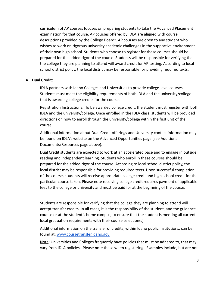curriculum of AP courses focuses on preparing students to take the Advanced Placement examination for that course. AP courses offered by IDLA are aligned with course descriptions provided by the College Board®. AP courses are open to any student who wishes to work on rigorous university academic challenges in the supportive environment of their own high school. Students who choose to register for these courses should be prepared for the added rigor of the course. Students will be responsible for verifying that the college they are planning to attend will award credit for AP testing. According to local school district policy, the local district may be responsible for providing required texts.

#### <span id="page-5-0"></span>**● Dual Credit:**

IDLA partners with Idaho Colleges and Universities to provide college-level courses. Students must meet the eligibility requirements of both IDLA and the university/college that is awarding college credits for the course.

Registration Instructions: To be awarded college credit, the student must register with both IDLA and the university/college. Once enrolled in the IDLA class, students will be provided directions on how to enroll through the university/college within the first unit of the course.

Additional information about Dual Credit offerings and University contact information may be found on IDLA's website on the Advanced Opportunities page (see Additional Documents/Resources page above).

Dual Credit students are expected to work at an accelerated pace and to engage in outside reading and independent learning. Students who enroll in these courses should be prepared for the added rigor of the course. According to local school district policy, the local district may be responsible for providing required texts. Upon successful completion of the course, students will receive appropriate college credit and high school credit for the particular course taken. Please note receiving college credit requires payment of applicable fees to the college or university and must be paid for at the beginning of the course.

Students are responsible for verifying that the college they are planning to attend will accept transfer credits. In all cases, it is the responsibility of the student, and the guidance counselor at the student's home campus, to ensure that the student is meeting all current local graduation requirements with their course selection(s).

Additional information on the transfer of credits, within Idaho public institutions, can be found at: [www.coursetransfer.idaho.gov](https://coursetransfer.idaho.gov/)

Note: Universities and Colleges frequently have policies that must be adhered to, that may vary from IDLA policies. Please note these when registering. Examples include, but are not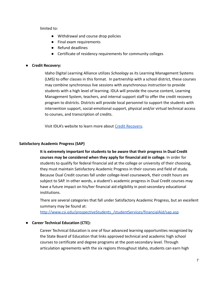limited to:

- Withdrawal and course drop policies
- Final exam requirements
- Refund deadlines
- Certificate of residency requirements for community colleges

### <span id="page-6-0"></span>● **Credit Recovery:**

Idaho Digital Learning Alliance utilizes *Schoology* as its Learning Management Systems (LMS) to offer classes in this format. In partnership with a school district, these courses may combine synchronous live sessions with asynchronous instruction to provide students with a high level of learning. IDLA will provide the course content, Learning Management System, teachers, and internal support staff to offer the credit recovery program to districts. Districts will provide local personnel to support the students with intervention support, social-emotional support, physical and/or virtual technical access to courses, and transcription of credits.

Visit IDLA's website to learn more about [Credit Recovery](https://www.idahodigitallearning.org/courses/credit-recovery/).

### <span id="page-6-1"></span>**Satisfactory Academic Progress (SAP)**

**It is extremely important for students to be aware that their progress in Dual Credit courses may be considered when they apply for financial aid in college**. In order for students to qualify for federal financial aid at the college or university of their choosing, they must maintain Satisfactory Academic Progress in their courses and field of study. Because Dual Credit courses fall under college-level coursework, their credit hours are subject to SAP. In other words, a student's academic progress in Dual Credit courses may have a future impact on his/her financial aid eligibility in post-secondary educational institutions.

There are several categories that fall under Satisfactory Academic Progress, but an excellent summary may be found at:

[http://www.csi.edu/prospectiveStudents\\_/studentServices/financialAid/sap.asp](http://www.csi.edu/prospectiveStudents_/studentServices/financialAid/sap.asp)

#### <span id="page-6-2"></span>**● Career Technical Education (CTE):**

Career Technical Education is one of four advanced learning opportunities recognized by the State Board of Education that links approved technical and academic high school courses to certificate and degree programs at the post-secondary level. Through articulation agreements with the six regions throughout Idaho, students can earn high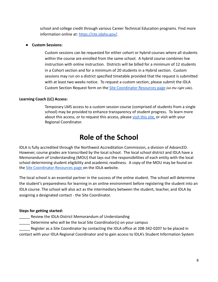school and college credit through various Career Technical Education programs. Find more information online at: <https://cte.idaho.gov/>.

#### <span id="page-7-0"></span>**● Custom Sessions:**

Custom sessions can be requested for either cohort or hybrid courses where all students within the course are enrolled from the same school. A hybrid course combines live instruction with online instruction. Districts will be billed for a minimum of 12 students in a Cohort section and for a minimum of 20 students in a Hybrid section. Custom sessions may run on a district specified timetable provided that the request is submitted with at least two weeks notice. To request a custom section, please submit the IDLA Custom Section Request form on the [Site Coordinator](https://www.idahodigitallearning.org/site-coordinators/resources/) Resources page *(on the right side)*.

# <span id="page-7-1"></span>**Learning Coach (LC) Access:**

Temporary LMS access to a custom session course (comprised of students from a single school) may be provided to enhance transparency of student progress. To learn more about this access, or to request this access, please [visit this site,](https://app.smartsheet.com/b/form/c89bed742bb84960a2ee5b7c97ec8d19) or visit with your Regional Coordinator.

# **Role of the School**

<span id="page-7-2"></span>IDLA is fully accredited through the Northwest Accreditation Commission, a division of AdvancED. However, course grades are transcribed by the local school. The local school district and IDLA have a Memorandum of Understanding (MOU) that lays out the responsibilities of each entity with the local school determining student eligibility and academic readiness. A copy of the MOU may be found on the **[Site Coordinator Resources page](https://www.idahodigitallearning.org/site-coordinators/resources/) on the IDLA website.** 

The local school is an essential partner in the success of the online student. The school will determine the student's preparedness for learning in an online environment before registering the student into an IDLA course. The school will also act as the intermediary between the student, teacher, and IDLA by assigning a designated contact - the Site Coordinator.

#### <span id="page-7-3"></span>**Steps for getting started:**

- Review the IDLA-District Memorandum of Understanding
- Determine who will be the local Site Coordinator(s) on your campus
- Register as a Site Coordinator by contacting the IDLA office at 208-342-0207 to be placed in

contact with your IDLA Regional Coordinator and to gain access to IDLA's Student Information System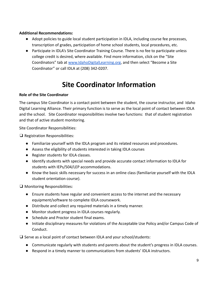### <span id="page-8-0"></span>**Additional Recommendations:**

- Adopt policies to guide local student participation in IDLA, including course fee processes, transcription of grades, participation of home school students, local procedures, etc.
- Participate in IDLA's Site Coordinator Training Course. There is no fee to participate unless college credit is desired, where available. Find more information, click on the "Site Coordinators" tab at [www.IdahoDigitalLearning.org](http://www.idahodigitallearning.org), and then select "Become a Site Coordinator" or call IDLA at (208) 342-0207.

# **Site Coordinator Information**

### <span id="page-8-2"></span><span id="page-8-1"></span>**Role of the Site Coordinator**

The campus Site Coordinator is a contact point between the student, the course instructor, and Idaho Digital Learning Alliance. Their primary function is to serve as the local point of contact between IDLA and the school. Site Coordinator responsibilities involve two functions: that of student registration and that of active student monitoring.

Site Coordinator Responsibilities:

❑ Registration Responsibilities:

- Familiarize yourself with the IDLA program and its related resources and procedures.
- Assess the eligibility of students interested in taking IDLA courses
- Register students for IDLA classes.
- Identify students with special needs and provide accurate contact information to IDLA for students with IEPs/504/LEP accommodations.
- Know the basic skills necessary for success in an online class (familiarize yourself with the IDLA student orientation course).

❑ Monitoring Responsibilities:

- Ensure students have regular and convenient access to the internet and the necessary equipment/software to complete IDLA coursework.
- Distribute and collect any required materials in a timely manner.
- Monitor student progress in IDLA courses regularly.
- Schedule and Proctor student final exams.
- Initiate disciplinary measures for violations of the Acceptable Use Policy and/or Campus Code of Conduct.

❑ Serve as a local point of contact between IDLA and your school/students:

- Communicate regularly with students and parents about the student's progress in IDLA courses.
- Respond in a timely manner to communications from students' IDLA instructors.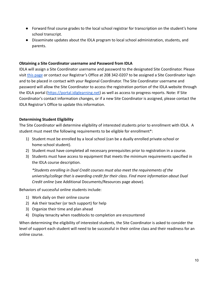- Forward final course grades to the local school registrar for transcription on the student's home school transcript.
- Disseminate updates about the IDLA program to local school administration, students, and parents.

#### <span id="page-9-0"></span>**Obtaining a Site Coordinator username and Password from IDLA**

IDLA will assign a Site Coordinator username and password to the designated Site Coordinator. Please visit [this page](https://www.idahodigitallearning.org/site-coordinators/become-a-site-coordinator/) or contact our Registrar's Office at 208 342-0207 to be assigned a Site Coordinator login and to be placed in contact with your Regional Coordinator. The Site Coordinator username and password will allow the Site Coordinator to access the registration portion of the IDLA website through the IDLA portal ([https://portal.idiglearning.net\)](https://portal.idiglearning.net) as well as access to progress reports. Note: If Site Coordinator's contact information changes, or if a new Site Coordinator is assigned, please contact the IDLA Registrar's Office to update this information.

### <span id="page-9-1"></span>**Determining Student Eligibility**

The Site Coordinator will determine eligibility of interested students prior to enrollment with IDLA. A student must meet the following requirements to be eligible for enrollment\*:

- 1) Student must be enrolled by a local school (can be a dually enrolled private-school or home-school student).
- 2) Student must have completed all necessary prerequisites prior to registration in a course.
- 3) Students must have access to equipment that meets the minimum requirements specified in the IDLA course description.

*\*Students enrolling in Dual Credit courses must also meet the requirements of the university/college that is awarding credit for their class. Find more information about Dual Credit online* (see Additional Documents/Resources page above).

Behaviors of successful online students include:

- 1) Work daily on their online course
- 2) Ask their teacher (or tech support) for help
- 3) Organize their time and plan ahead
- 4) Display tenacity when roadblocks to completion are encountered

When determining the eligibility of interested students, the Site Coordinator is asked to consider the level of support each student will need to be successful in their online class and their readiness for an online course.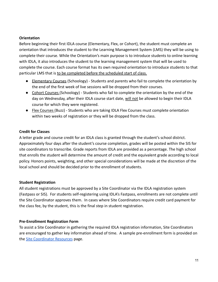#### <span id="page-10-0"></span>**Orientation**

Before beginning their first IDLA course (Elementary, Flex, or Cohort), the student must complete an orientation that introduces the student to the Learning Management System (LMS) they will be using to complete their course. While the Orientation's main purpose is to introduce students to online learning with IDLA, it also introduces the student to the learning management system that will be used to complete the course. Each course format has its own required orientation to introduce students to that particular LMS that is to be completed before the scheduled start of class.

- Elementary Courses (Schoology) Students and parents who fail to complete the orientation by the end of the first week of live sessions will be dropped from their courses.
- Cohort Courses (Schoology) Students who fail to complete the orientation by the end of the day on Wednesday, after their IDLA course start date, will not be allowed to begin their IDLA course for which they were registered.
- Flex Courses (Buzz) Students who are taking IDLA Flex Courses must complete orientation within two weeks of registration or they will be dropped from the class.

#### <span id="page-10-1"></span>**Credit for Classes**

A letter grade and course credit for an IDLA class is granted through the student's school district. Approximately four days after the student's course completion, grades will be posted within the SIS for site coordinators to transcribe. Grade reports from IDLA are provided as a percentage. The high school that enrolls the student will determine the amount of credit and the equivalent grade according to local policy. Honors points, weighting, and other special considerations will be made at the discretion of the local school and should be decided prior to the enrollment of students.

#### <span id="page-10-2"></span>**Student Registration**

All student registrations must be approved by a Site Coordinator via the IDLA registration system (Fastpass or SIS). For students self-registering using IDLA's Fastpass, enrollments are not complete until the Site Coordinator approves them. In cases where Site Coordinators require credit card payment for the class fee, by the student, this is the final step in student registration.

#### <span id="page-10-3"></span>**Pre-Enrollment Registration Form**

To assist a Site Coordinator in gathering the required IDLA registration information, Site Coordinators are encouraged to gather key information ahead of time. A sample pre-enrollment form is provided on the [Site Coordinator Resources](https://www.idahodigitallearning.org/site-coordinators/resources/) page.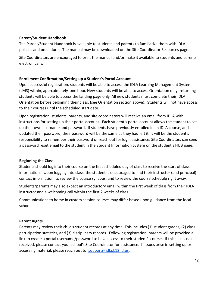#### <span id="page-11-0"></span>**Parent/Student Handbook**

The Parent/Student Handbook is available to students and parents to familiarize them with IDLA policies and procedures. The manual may be downloaded on the Site Coordinator Resources page.

Site Coordinators are encouraged to print the manual and/or make it available to students and parents electronically.

#### <span id="page-11-1"></span>**Enrollment Confirmation/Setting up a Student's Portal Account**

Upon successful registration, students will be able to access the IDLA Learning Management System (LMS) within, approximately, one hour. New students will be able to access Orientation only; returning students will be able to access the landing page only. All new students must complete their IDLA Orientation before beginning their class. (see Orientation section above). Students will not have access to their courses until the scheduled start date.

Upon registration, students, parents, and site coordinators will receive an email from IDLA with instructions for setting up their portal account. Each student's portal account allows the student to set up their own username and password. If students have previously enrolled in an IDLA course, and updated their password, their password will be the same as they had left it. It will be the student's responsibility to remember their password or reach out for login assistance. Site Coordinators can send a password reset email to the student in the Student Information System on the student's HUB page.

#### <span id="page-11-2"></span>**Beginning the Class**

Students should log into their course on the first scheduled day of class to receive the start of class information. Upon logging into class, the student is encouraged to find their instructor (and principal) contact information, to review the course syllabus, and to review the course schedule right away.

Students/parents may also expect an introductory email within the first week of class from their IDLA instructor and a welcoming call within the first 2 weeks of class.

Communications to home in custom session courses may differ based upon guidance from the local school.

#### <span id="page-11-3"></span>**Parent Rights**

Parents may review their child's student records at any time. This includes (1) student grades, (2) class participation statistics, and (3) disciplinary records. Following registration, parents will be provided a link to create a portal username/password to have access to their student's course. If this link is not received, please contact your school's Site Coordinator for assistance. If issues arise in setting up or accessing material, please reach out to: [support@idla.k12.id.us.](mailto:support@idla.k12.id.us)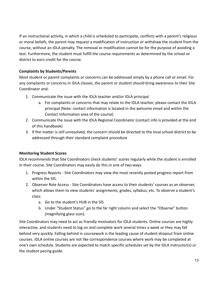If an instructional activity, in which a child is scheduled to participate, conflicts with a parent's religious or moral beliefs, the parent may request a modification of instruction or withdraw the student from the course, without an IDLA penalty. The removal or modification cannot be for the purpose of avoiding a test. Furthermore, the student must fulfill the course requirements as determined by the school or district to earn credit for the course.

# <span id="page-12-0"></span>**Complaints by Students/Parents**

Most student or parent complaints or concerns can be addressed simply by a phone call or email. For any complaints or concerns in IDLA classes, the parent or student should bring awareness to their Site Coordinator and:

- 1. Communicate the issue with the IDLA teacher and/or IDLA principal
	- a. For complaints or concerns that may relate to the IDLA teacher, please contact the IDLA principal (Note: contact information is located in the welcome email and within the Contact Information area of the course)
- 2. Communicate the issue with the IDLA Regional Coordinator (contact info is provided at the end of this handbook)
- 3. If the matter is still unresolved, the concern should be directed to the local school district to be addressed through their standard complaint procedure

# <span id="page-12-1"></span>**Monitoring Student Scores**

IDLA recommends that Site Coordinators check students' scores regularly while the student is enrolled in their course. Site Coordinators may easily do this in one of two ways.

- 1. Progress Reports Site Coordinators may view the most recently posted progress report from within the SIS.
- 2. Observer Role Access Site Coordinators have access to their students' courses as an observer, which allows them to view students' assignments, grades, syllabus, etc. To observe a student's class:
	- a. Go to the student's HUB in the SIS
	- b. Under "Student Status" go to the far right column and select the "Observe" button (magnifying glass icon).

Site Coordinators may need to act as friendly motivators for IDLA students. Online courses are highly interactive, and students need to log on and complete work several times a week or they may fall behind very quickly. Falling behind in coursework is the leading cause of student dropout from online courses. IDLA online courses are not like correspondence courses where work may be completed at one's own schedule. Students are expected to match specific schedules set by the IDLA instructor(s) or the student pacing guide.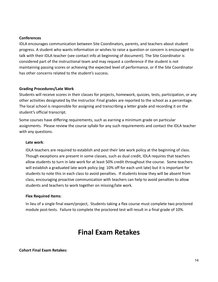#### <span id="page-13-0"></span>**Conferences**

IDLA encourages communication between Site Coordinators, parents, and teachers about student progress. A student who wants information or wishes to raise a question or concern is encouraged to talk with their IDLA teacher (see contact info at beginning of document). The Site Coordinator is considered part of the instructional team and may request a conference if the student is not maintaining passing scores or achieving the expected level of performance, or if the Site Coordinator has other concerns related to the student's success.

#### <span id="page-13-1"></span>**Grading Procedures/Late Work**

Students will receive scores in their classes for projects, homework, quizzes, tests, participation, or any other activities designated by the instructor. Final grades are reported to the school as a percentage. The local school is responsible for assigning and transcribing a letter grade and recording it on the student's official transcript.

Some courses have differing requirements, such as earning a minimum grade on particular assignments. Please review the course syllabi for any such requirements and contact the IDLA teacher with any questions.

#### <span id="page-13-2"></span>**Late work**:

IDLA teachers are required to establish and post their late work policy at the beginning of class. Though exceptions are present in some classes, such as dual credit, IDLA requires that teachers allow students to turn in late work for at least 50% credit throughout the course. Some teachers will establish a graduated late work policy (eg: 10% off for each unit late) but it is important for students to note this in each class to avoid penalties. If students know they will be absent from class, encouraging proactive communication with teachers can help to avoid penalties to allow students and teachers to work together on missing/late work.

#### <span id="page-13-3"></span>**Flex Required Items**:

In lieu of a single final exam/project, Students taking a flex course must complete two proctored module post-tests. Failure to complete the proctored test will result in a final grade of 10%.

# **Final Exam Retakes**

#### <span id="page-13-4"></span>**Cohort Final Exam Retakes:**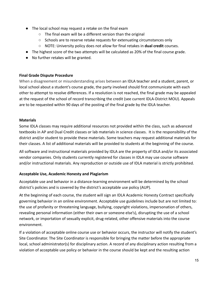- The local school may request a retake on the final exam
	- The final exam will be a different version than the original
	- Schools are to reserve retake requests for extenuating circumstances only
	- NOTE: University policy does not allow for final retakes in **dual credit** courses.
- The highest score of the two attempts will be calculated as 20% of the final course grade.
- No further retakes will be granted.

#### <span id="page-14-0"></span>**Final Grade Dispute Procedure**

When a disagreement or misunderstanding arises between an IDLA teacher and a student, parent, or local school about a student's course grade, the party involved should first communicate with each other to attempt to resolve differences. If a resolution is not reached, the final grade may be appealed at the request of the school of record transcribing the credit (see current IDLA-District MOU). Appeals are to be requested within 90 days of the posting of the final grade by the IDLA teacher.

#### <span id="page-14-1"></span>**Materials**

Some IDLA classes may require additional resources not provided within the class, such as advanced textbooks in AP and Dual Credit classes or lab materials in science classes. It is the responsibility of the district and/or student to provide these materials. Some teachers may request additional materials for their classes. A list of additional materials will be provided to students at the beginning of the course.

All software and instructional materials provided by IDLA are the property of IDLA and/or its associated vendor companies. Only students currently registered for classes in IDLA may use course software and/or instructional materials. Any reproduction or outside use of IDLA material is strictly prohibited.

#### <span id="page-14-2"></span>**Acceptable Use, Academic Honesty and Plagiarism**

Acceptable use and behavior in a distance-learning environment will be determined by the school district's policies and is covered by the district's acceptable use policy (AUP).

At the beginning of each course, the student will sign an IDLA Academic Honesty Contract specifically governing behavior in an online environment. Acceptable use guidelines include but are not limited to: the use of profanity or threatening language, bullying, copyright violations, impersonation of others, revealing personal information (either their own or someone else's), disrupting the use of a school network, or importation of sexually explicit, drug-related, other offensive materials into the course environment.

If a violation of acceptable online course use or behavior occurs, the instructor will notify the student's Site Coordinator. The Site Coordinator is responsible for bringing the matter before the appropriate local, school administrator(s) for disciplinary action. A record of any disciplinary action resulting from a violation of acceptable use policy or behavior in the course should be kept and the resulting action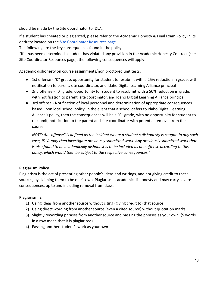should be made by the Site Coordinator to IDLA.

If a student has cheated or plagiarized, please refer to the Academic Honesty & Final Exam Policy in its entirety located on the [Site Coordinator Resources](https://www.idahodigitallearning.org/site-coordinators/resources/) page.

The following are the key consequences found in the policy:

"If it has been determined a student has violated any provision in the Academic Honesty Contract (see Site Coordinator Resources page), the following consequences will apply:

Academic dishonesty on course assignments/non proctored unit tests:

- 1st offense "0" grade, opportunity for student to resubmit with a 25% reduction in grade, with notification to parent, site coordinator, and Idaho Digital Learning Alliance principal
- 2nd offense "0" grade, opportunity for student to resubmit with a 50% reduction in grade, with notification to parent, site coordinator, and Idaho Digital Learning Alliance principal
- 3rd offense Notification of local personnel and determination of appropriate consequences based upon local school policy. In the event that a school defers to Idaho Digital Learning Alliance's policy, then the consequences will be a "0" grade, with no opportunity for student to resubmit, notification to the parent and site coordinator with potential removal from the course.

*NOTE: An "offense" is defined as the incident where a student's dishonesty is caught. In any such case, IDLA may then investigate previously submitted work. Any previously submitted work that is also found to be academically dishonest is to be included as one offense according to this policy, which would then be subject to the respective consequences."*

# **Plagiarism Policy**

Plagiarism is the act of presenting other people's ideas and writings, and not giving credit to these sources, by claiming them to be one's own. Plagiarism is academic dishonesty and may carry severe consequences, up to and including removal from class.

# **Plagiarism is**:

- 1) Using ideas from another source without citing (giving credit to) that source
- 2) Using direct wording from another source (even a cited source) without quotation marks
- 3) Slightly rewording phrases from another source and passing the phrases as your own. (5 words in a row mean that it is plagiarized)
- 4) Passing another student's work as your own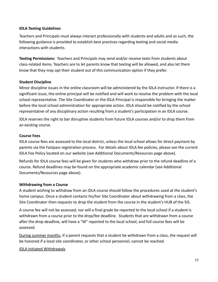#### <span id="page-16-0"></span>**IDLA Texting Guidelines**

Teachers and Principals must always interact professionally with students and adults and as such, the following guidance is provided to establish best practices regarding texting and social media interactions with students.

**Texting Permissions:** Teachers and Principals may send and/or receive texts from students about class-related items. Teachers are to let parents know that texting will be allowed, and also let them know that they may opt their student out of this communication option if they prefer.

#### <span id="page-16-1"></span>**Student Discipline**

Minor discipline issues in the online classroom will be administered by the IDLA instructor. If there is a significant issue, the online principal will be notified and will work to resolve the problem with the local school representative. The Site Coordinator or the IDLA Principal is responsible for bringing the matter before the local school administration for appropriate action. IDLA should be notified by the school representative of any disciplinary action resulting from a student's participation in an IDLA course.

IDLA reserves the right to bar disruptive students from future IDLA courses and/or to drop them from an existing course.

#### <span id="page-16-2"></span>**Course Fees**

IDLA course fees are assessed to the local district, unless the local school allows for direct payment by parents via the Fastpass registration process. For details about IDLA fee policies, please see the current IDLA Fee Policy located on our website (see Additional Documents/Resources page above).

Refunds for IDLA course fees will be given for students who withdraw prior to the refund deadline of a course. Refund deadlines may be found on the appropriate academic calendar (see Additional Documents/Resources page above).

#### <span id="page-16-3"></span>**Withdrawing from a Course**

A student wishing to withdraw from an IDLA course should follow the procedures used at the student's home campus. Once a student contacts his/her Site Coordinator about withdrawing from a class, the Site Coordinator then requests to drop the student from the course in the student's HUB of the SIS.

A course fee will not be assessed, nor will a final grade be reported to the local school if a student is withdrawn from a course prior to the drop/fee deadline. Students that are withdrawn from a course after the drop deadline, will have a "W" reported to the local school, and full course fees will be assessed.

During summer months, if a parent requests that a student be withdrawn from a class, the request will be honored if a local site coordinator, or other school personnel, cannot be reached.

#### IDLA Initiated Withdrawals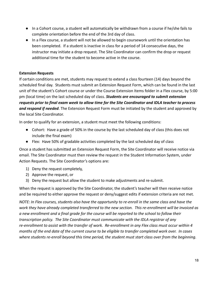- In a Cohort course, a student will automatically be withdrawn from a course if he/she fails to complete orientation before the end of the 3rd day of class.
- In a Flex course, a student will not be allowed to begin coursework until the orientation has been completed. If a student is inactive in class for a period of 14 consecutive days, the instructor may initiate a drop request. The Site Coordinator can confirm the drop or request additional time for the student to become active in the course.

### <span id="page-17-0"></span>**Extension Requests**

If certain conditions are met, students may request to extend a class fourteen (14) days beyond the scheduled final day. Students must submit an Extension Request Form, which can be found in the last unit of the student's Cohort course or under the Course Extension Items folder in a Flex course, by 5:00 pm (local time) on the last scheduled day of class. *Students are encouraged to submit extension requests prior to final exam week to allow time for the Site Coordinator and IDLA teacher to process and respond if needed*. The Extension Request Form must be initiated by the student and approved by the local Site Coordinator.

In order to qualify for an extension, a student must meet the following conditions:

- Cohort: Have a grade of 50% in the course by the last scheduled day of class (this does not include the final exam)
- Flex: Have 50% of gradable activities completed by the last scheduled day of class

Once a student has submitted an Extension Request Form, the Site Coordinator will receive notice via email. The Site Coordinator must then review the request in the Student Information System, under Action Requests. The Site Coordinator's options are:

- 1) Deny the request completely,
- 2) Approve the request, or
- 3) Deny the request but allow the student to make adjustments and re-submit.

When the request is approved by the Site Coordinator, the student's teacher will then receive notice and be required to either approve the request or deny/suggest edits if extension criteria are not met.

*NOTE: In Flex courses, students also have the opportunity to re-enroll in the same class and have the work they have already completed transferred to the new section. This re-enrollment will be invoiced as a new enrollment and a final grade for the course will be reported to the school to follow their transcription policy. The Site Coordinator must communicate with the IDLA registrar of any re-enrollment to assist with the transfer of work. Re-enrollment in any Flex class must occur within 4 months of the end date of the current course to be eligible to transfer completed work over. In cases where students re-enroll beyond this time period, the student must start class over from the beginning.*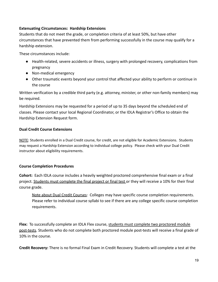#### <span id="page-18-0"></span>**Extenuating Circumstances: Hardship Extensions**

Students that do not meet the grade, or completion criteria of at least 50%, but have other circumstances that have prevented them from performing successfully in the course may qualify for a hardship extension.

These circumstances include:

- Health-related, severe accidents or illness, surgery with prolonged recovery, complications from pregnancy
- Non-medical emergency
- Other traumatic events beyond your control that affected your ability to perform or continue in the course

Written verification by a credible third party (e.g. attorney, minister, or other non-family members) may be required.

Hardship Extensions may be requested for a period of up to 35 days beyond the scheduled end of classes. Please contact your local Regional Coordinator, or the IDLA Registrar's Office to obtain the Hardship Extension Request form.

# **Dual Credit Course Extensions**

NOTE: Students enrolled in a Dual Credit course, for credit, are not eligible for Academic Extensions. Students may request a Hardship Extension according to individual college policy. Please check with your Dual Credit instructor about eligibility requirements.

# <span id="page-18-1"></span>**Course Completion Procedures**

**Cohort:** Each IDLA course includes a heavily weighted proctored comprehensive final exam or a final project. Students must complete the final project or final test or they will receive a 10% for their final course grade.

Note about Dual Credit Courses: Colleges may have specific course completion requirements. Please refer to individual course syllabi to see if there are any college specific course completion requirements.

**Flex:** To successfully complete an IDLA Flex course, students must complete two proctored module post-tests. Students who do not complete both proctored module post-tests will receive a final grade of 10% in the course.

**Credit Recovery:** There is no formal Final Exam in Credit Recovery. Students will complete a test at the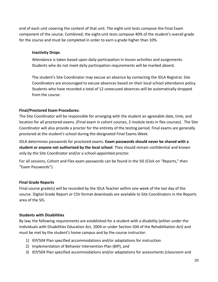end of each unit covering the content of that unit. The eight-unit tests compose the Final Exam component of the course. Combined, the eight-unit tests compose 40% of the student's overall grade for the course and must be completed in order to earn a grade higher than 10%.

#### **Inactivity Drops**

Attendance is taken based upon daily participation in lesson activities and assignments. Students who do not meet daily participation requirements will be marked absent.

The student's Site Coordinator may excuse an absence by contacting the IDLA Registrar. Site Coordinators are encouraged to excuse absences based on their local school attendance policy. Students who have recorded a total of 12 unexcused absences will be automatically dropped from the course.

### **Final/Proctored Exam Procedures:**

The Site Coordinator will be responsible for arranging with the student an agreeable date, time, and location for all proctored exams. (Final exam in cohort courses, 2 module tests in flex courses). The Site Coordinator will also provide a proctor for the entirety of the testing period. Final exams are generally proctored at the student's school during the designated Final Exams Week.

IDLA determines passwords for proctored exams. **Exam passwords should never be shared with a student or anyone not authorized by the local school**. They should remain confidential and known only by the Site Coordinator and/or a school-appointed proctor.

For all sessions, Cohort and Flex exam passwords can be found in the SIS (Click on "Reports," then "Exam Passwords").

#### <span id="page-19-0"></span>**Final Grade Reports**

Final course grade(s) will be recorded by the IDLA Teacher within one week of the last day of the course. Digital Grade Report or CSV format downloads are available to Site Coordinators in the Reports area of the SIS.

#### <span id="page-19-1"></span>**Students with Disabilities**

By law, the following requirements are established for a student with a disability (either under the Individuals with Disabilities Education Act, 2004 or under Section 504 of the Rehabilitation Act) and must be met by the student's home campus and by the course instructor:

- 1) IEP/504 Plan specified accommodations and/or adaptations for instruction
- 2) Implementation of Behavior Intervention Plan (BIP), and
- 3) IEP/504 Plan specified accommodations and/or adaptations for assessments (classroom and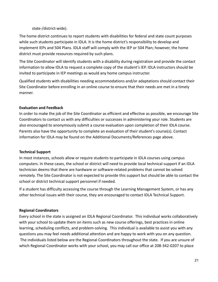state-/district-wide).

The home district continues to report students with disabilities for federal and state count purposes while such students participate in IDLA. It is the home district's responsibility to develop and implement IEPs and 504 Plans. IDLA staff will comply with the IEP or 504 Plan; however, the home district must provide resources required by such plans.

The Site Coordinator will identify students with a disability during registration and provide the contact information to allow IDLA to request a complete copy of the student's IEP. IDLA instructors should be invited to participate in IEP meetings as would any home campus instructor.

Qualified students with disabilities needing accommodations and/or adaptations should contact their Site Coordinator before enrolling in an online course to ensure that their needs are met in a timely manner.

# <span id="page-20-0"></span>**Evaluation and Feedback**

In order to make the job of the Site Coordinator as efficient and effective as possible, we encourage Site Coordinators to contact us with any difficulties or successes in administering your role. Students are also encouraged to anonymously submit a course evaluation upon completion of their IDLA course. Parents also have the opportunity to complete an evaluation of their student's course(s). Contact information for IDLA may be found on the Additional Documents/References page above.

# <span id="page-20-1"></span>**Technical Support**

In most instances, schools allow or require students to participate in IDLA courses using campus computers. In these cases, the school or district will need to provide local technical support if an IDLA technician deems that there are hardware or software-related problems that cannot be solved remotely. The Site Coordinator is not expected to provide this support but should be able to contact the school or district technical support personnel if needed.

If a student has difficulty accessing the course through the Learning Management System, or has any other technical issues with their course, they are encouraged to contact IDLA Technical Support.

# <span id="page-20-2"></span>**Regional Coordinators**

Every school in the state is assigned an IDLA Regional Coordinator. This individual works collaboratively with your school to update them on items such as new course offerings, best practices in online learning, scheduling conflicts, and problem-solving. This individual is available to assist you with any questions you may feel needs additional attention and are happy to work with you on any question. The individuals listed below are the Regional Coordinators throughout the state. If you are unsure of which Regional Coordinator works with your school, you may call our office at 208-342-0207 to place